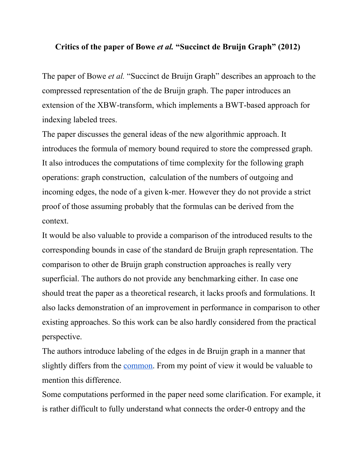## **Critics of the paper of Bowe** *et al.* **"Succinct de Bruijn Graph" (2012)**

The paper of Bowe *et al.* "Succinct de Bruijn Graph" describes an approach to the compressed representation of the de Bruijn graph. The paper introduces an extension of the XBW-transform, which implements a BWT-based approach for indexing labeled trees.

The paper discusses the general ideas of the new algorithmic approach. It introduces the formula of memory bound required to store the compressed graph. It also introduces the computations of time complexity for the following graph operations: graph construction, calculation of the numbers of outgoing and incoming edges, the node of a given k-mer. However they do not provide a strict proof of those assuming probably that the formulas can be derived from the context.

It would be also valuable to provide a comparison of the introduced results to the corresponding bounds in case of the standard de Bruijn graph representation. The comparison to other de Bruijn graph construction approaches is really very superficial. The authors do not provide any benchmarking either. In case one should treat the paper as a theoretical research, it lacks proofs and formulations. It also lacks demonstration of an improvement in performance in comparison to other existing approaches. So this work can be also hardly considered from the practical perspective.

The authors introduce labeling of the edges in de Bruijn graph in a manner that slightly differs from the [common.](http://www.google.com/url?q=http%3A%2F%2Fwww.ncbi.nlm.nih.gov%2Fpmc%2Farticles%2FPMC55524%2F&sa=D&sntz=1&usg=AFQjCNFLXWFW_duNj9dRscoqxYJt_Iy-hg) From my point of view it would be valuable to mention this difference.

Some computations performed in the paper need some clarification. For example, it is rather difficult to fully understand what connects the order-0 entropy and the